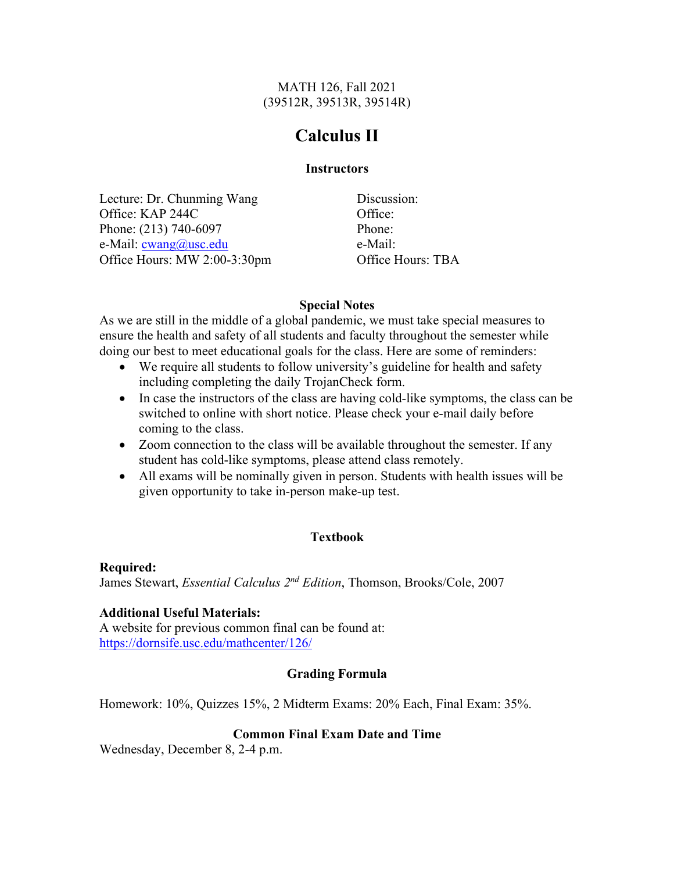MATH 126, Fall 2021 (39512R, 39513R, 39514R)

# **Calculus II**

#### **Instructors**

Lecture: Dr. Chunming Wang Office: KAP 244C Phone: (213) 740-6097 e-Mail: cwang@usc.edu Office Hours: MW 2:00-3:30pm

Discussion: Office: Phone: e-Mail: Office Hours: TBA

## **Special Notes**

As we are still in the middle of a global pandemic, we must take special measures to ensure the health and safety of all students and faculty throughout the semester while doing our best to meet educational goals for the class. Here are some of reminders:

- We require all students to follow university's guideline for health and safety including completing the daily TrojanCheck form.
- In case the instructors of the class are having cold-like symptoms, the class can be switched to online with short notice. Please check your e-mail daily before coming to the class.
- Zoom connection to the class will be available throughout the semester. If any student has cold-like symptoms, please attend class remotely.
- All exams will be nominally given in person. Students with health issues will be given opportunity to take in-person make-up test.

## **Textbook**

**Required:** James Stewart, *Essential Calculus 2nd Edition*, Thomson, Brooks/Cole, 2007

## **Additional Useful Materials:**

A website for previous common final can be found at: https://dornsife.usc.edu/mathcenter/126/

## **Grading Formula**

Homework: 10%, Quizzes 15%, 2 Midterm Exams: 20% Each, Final Exam: 35%.

## **Common Final Exam Date and Time**

Wednesday, December 8, 2-4 p.m.